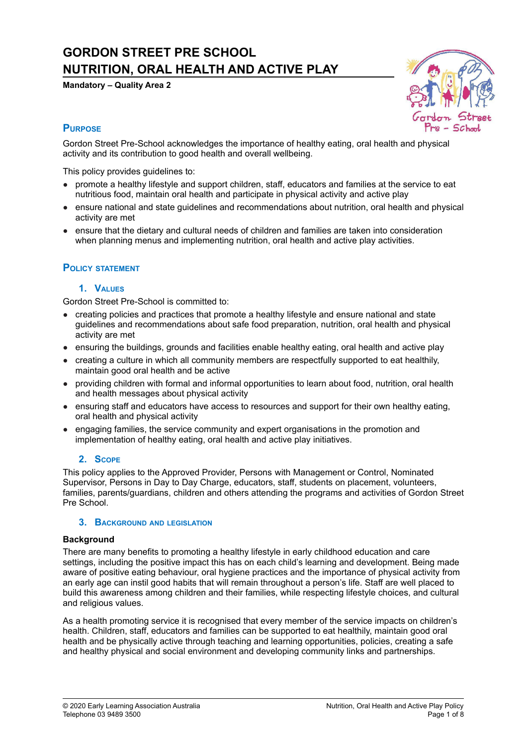# **GORDON STREET PRE SCHOOL NUTRITION, ORAL HEALTH AND ACTIVE PLAY**

**Mandatory – Quality Area 2**



# **PURPOSE**

Gordon Street Pre-School acknowledges the importance of healthy eating, oral health and physical activity and its contribution to good health and overall wellbeing.

This policy provides guidelines to:

- promote a healthy lifestyle and support children, staff, educators and families at the service to eat nutritious food, maintain oral health and participate in physical activity and active play
- ensure national and state guidelines and recommendations about nutrition, oral health and physical activity are met
- ensure that the dietary and cultural needs of children and families are taken into consideration when planning menus and implementing nutrition, oral health and active play activities.

# **POLICY STATEMENT**

#### **1. VALUES**

Gordon Street Pre-School is committed to:

- creating policies and practices that promote a healthy lifestyle and ensure national and state guidelines and recommendations about safe food preparation, nutrition, oral health and physical activity are met
- ensuring the buildings, grounds and facilities enable healthy eating, oral health and active play
- creating a culture in which all community members are respectfully supported to eat healthily, maintain good oral health and be active
- providing children with formal and informal opportunities to learn about food, nutrition, oral health and health messages about physical activity
- ensuring staff and educators have access to resources and support for their own healthy eating, oral health and physical activity
- engaging families, the service community and expert organisations in the promotion and implementation of healthy eating, oral health and active play initiatives.

# **2. SCOPE**

This policy applies to the Approved Provider, Persons with Management or Control, Nominated Supervisor, Persons in Day to Day Charge, educators, staff, students on placement, volunteers, families, parents/guardians, children and others attending the programs and activities of Gordon Street Pre School.

#### **3. BACKGROUND AND LEGISLATION**

#### **Background**

There are many benefits to promoting a healthy lifestyle in early childhood education and care settings, including the positive impact this has on each child's learning and development. Being made aware of positive eating behaviour, oral hygiene practices and the importance of physical activity from an early age can instil good habits that will remain throughout a person's life. Staff are well placed to build this awareness among children and their families, while respecting lifestyle choices, and cultural and religious values.

As a health promoting service it is recognised that every member of the service impacts on children's health. Children, staff, educators and families can be supported to eat healthily, maintain good oral health and be physically active through teaching and learning opportunities, policies, creating a safe and healthy physical and social environment and developing community links and partnerships.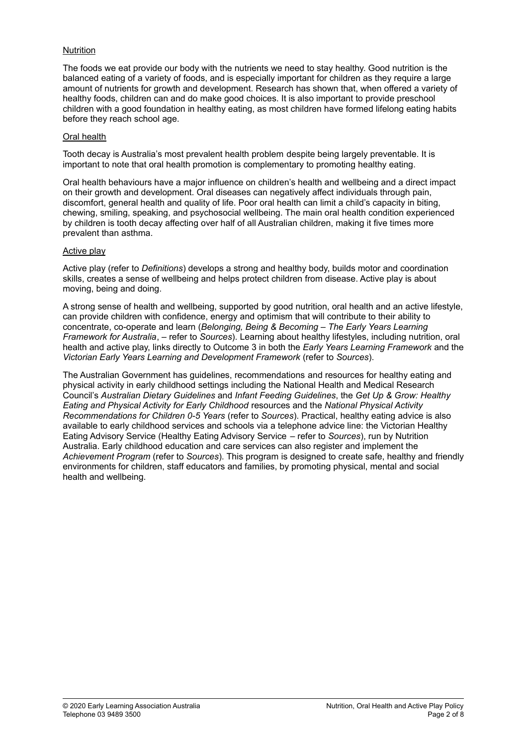#### Nutrition

The foods we eat provide our body with the nutrients we need to stay healthy. Good nutrition is the balanced eating of a variety of foods, and is especially important for children as they require a large amount of nutrients for growth and development. Research has shown that, when offered a variety of healthy foods, children can and do make good choices. It is also important to provide preschool children with a good foundation in healthy eating, as most children have formed lifelong eating habits before they reach school age.

#### Oral health

Tooth decay is Australia's most prevalent health problem despite being largely preventable. It is important to note that oral health promotion is complementary to promoting healthy eating.

Oral health behaviours have a major influence on children's health and wellbeing and a direct impact on their growth and development. Oral diseases can negatively affect individuals through pain, discomfort, general health and quality of life. Poor oral health can limit a child's capacity in biting, chewing, smiling, speaking, and psychosocial wellbeing. The main oral health condition experienced by children is tooth decay affecting over half of all Australian children, making it five times more prevalent than asthma.

# Active play

Active play (refer to *Definitions*) develops a strong and healthy body, builds motor and coordination skills, creates a sense of wellbeing and helps protect children from disease. Active play is about moving, being and doing.

A strong sense of health and wellbeing, supported by good nutrition, oral health and an active lifestyle, can provide children with confidence, energy and optimism that will contribute to their ability to concentrate, co-operate and learn (*Belonging, Being & Becoming – The Early Years Learning Framework for Australia*, – refer to *Sources*). Learning about healthy lifestyles, including nutrition, oral health and active play, links directly to Outcome 3 in both the *Early Years Learning Framework* and the *Victorian Early Years Learning and Development Framework* (refer to *Sources*).

The Australian Government has guidelines, recommendations and resources for healthy eating and physical activity in early childhood settings including the National Health and Medical Research Council's *Australian Dietary Guidelines* and *Infant Feeding Guidelines*, the *Get Up & Grow: Healthy Eating and Physical Activity for Early Childhood* resources and the *National Physical Activity Recommendations for Children 0-5 Years* (refer to *Sources*). Practical, healthy eating advice is also available to early childhood services and schools via a telephone advice line: the Victorian Healthy Eating Advisory Service (Healthy Eating Advisory Service – refer to *Sources*), run by Nutrition Australia. Early childhood education and care services can also register and implement the *Achievement Program* (refer to *Sources*). This program is designed to create safe, healthy and friendly environments for children, staff educators and families, by promoting physical, mental and social health and wellbeing.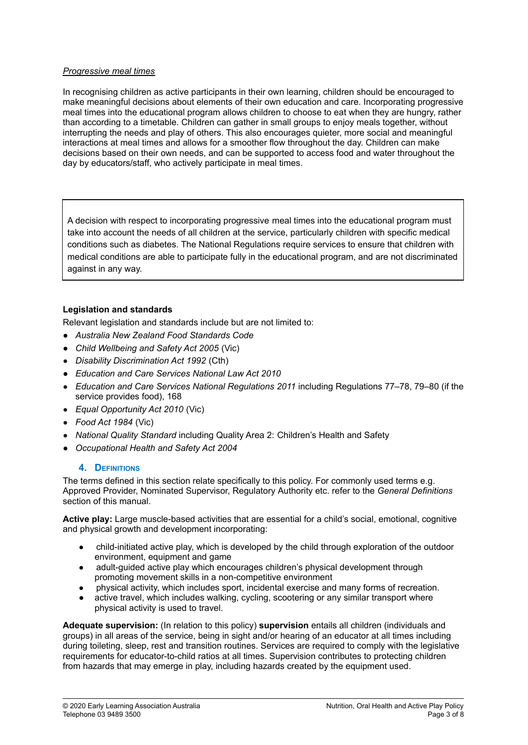#### *Progressive meal times*

In recognising children as active participants in their own learning, children should be encouraged to make meaningful decisions about elements of their own education and care. Incorporating progressive meal times into the educational program allows children to choose to eat when they are hungry, rather than according to a timetable. Children can gather in small groups to enjoy meals together, without interrupting the needs and play of others. This also encourages quieter, more social and meaningful interactions at meal times and allows for a smoother flow throughout the day. Children can make decisions based on their own needs, and can be supported to access food and water throughout the day by educators/staff, who actively participate in meal times.

A decision with respect to incorporating progressive meal times into the educational program must take into account the needs of all children at the service, particularly children with specific medical conditions such as diabetes. The National Regulations require services to ensure that children with medical conditions are able to participate fully in the educational program, and are not discriminated against in any way.

# **Legislation and standards**

Relevant legislation and standards include but are not limited to:

- *● Australia New Zealand Food Standards Code*
- *● Child Wellbeing and Safety Act 2005* (Vic)
- *Disability Discrimination Act 1992* (Cth)
- *● Education and Care Services National Law Act 2010*
- *Education and Care Services National Regulations 2011* including Regulations 77–78, 79–80 (if the service provides food), 168
- *Equal Opportunity Act 2010* (Vic)
- *Food Act 1984* (Vic)
- *National Quality Standard* including Quality Area 2: Children's Health and Safety
- *● Occupational Health and Safety Act 2004*

#### **4. DEFINITIONS**

The terms defined in this section relate specifically to this policy. For commonly used terms e.g. Approved Provider, Nominated Supervisor, Regulatory Authority etc. refer to the *General Definitions* section of this manual.

**Active play:** Large muscle-based activities that are essential for a child's social, emotional, cognitive and physical growth and development incorporating:

- child-initiated active play, which is developed by the child through exploration of the outdoor environment, equipment and game
- adult-guided active play which encourages children's physical development through promoting movement skills in a non-competitive environment
- physical activity, which includes sport, incidental exercise and many forms of recreation.
- active travel, which includes walking, cycling, scootering or any similar transport where physical activity is used to travel.

**Adequate supervision:** (In relation to this policy) **supervision** entails all children (individuals and groups) in all areas of the service, being in sight and/or hearing of an educator at all times including during toileting, sleep, rest and transition routines. Services are required to comply with the legislative requirements for educator-to-child ratios at all times. Supervision contributes to protecting children from hazards that may emerge in play, including hazards created by the equipment used.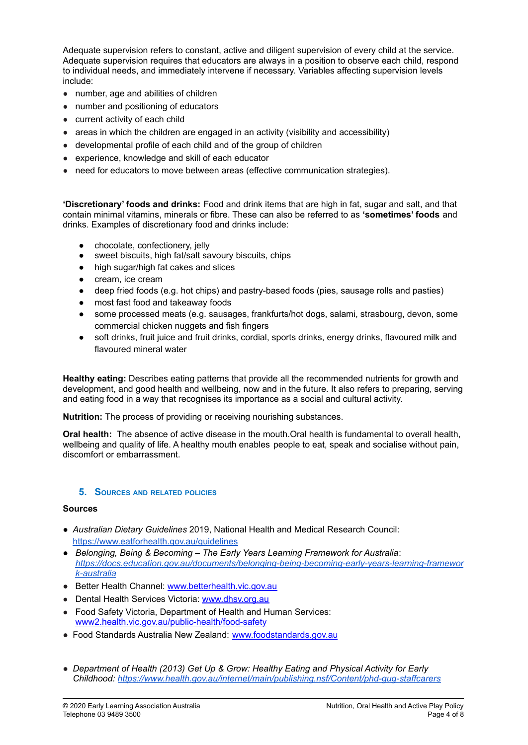Adequate supervision refers to constant, active and diligent supervision of every child at the service. Adequate supervision requires that educators are always in a position to observe each child, respond to individual needs, and immediately intervene if necessary. Variables affecting supervision levels include:

- number, age and abilities of children
- number and positioning of educators
- current activity of each child
- areas in which the children are engaged in an activity (visibility and accessibility)
- developmental profile of each child and of the group of children
- experience, knowledge and skill of each educator
- need for educators to move between areas (effective communication strategies).

**'Discretionary' foods and drinks:** Food and drink items that are high in fat, sugar and salt, and that contain minimal vitamins, minerals or fibre. These can also be referred to as **'sometimes' foods** and drinks. Examples of discretionary food and drinks include:

- chocolate, confectionery, jelly
- sweet biscuits, high fat/salt savoury biscuits, chips
- high sugar/high fat cakes and slices
- cream, ice cream
- deep fried foods (e.g. hot chips) and pastry-based foods (pies, sausage rolls and pasties)
- most fast food and takeaway foods
- some processed meats (e.g. sausages, frankfurts/hot dogs, salami, strasbourg, devon, some commercial chicken nuggets and fish fingers
- soft drinks, fruit juice and fruit drinks, cordial, sports drinks, energy drinks, flavoured milk and flavoured mineral water

**Healthy eating:** Describes eating patterns that provide all the recommended nutrients for growth and development, and good health and wellbeing, now and in the future. It also refers to preparing, serving and eating food in a way that recognises its importance as a social and cultural activity.

**Nutrition:** The process of providing or receiving nourishing substances.

**Oral health:** The absence of active disease in the mouth.Oral health is fundamental to overall health, wellbeing and quality of life. A healthy mouth enables people to eat, speak and socialise without pain, discomfort or embarrassment.

#### **5. SOURCES AND RELATED POLICIES**

#### **Sources**

- *● Australian Dietary Guidelines* 2019, National Health and Medical Research Council[:](https://www.eatforhealth.gov.au/guidelines) <https://www.eatforhealth.gov.au/guidelines>
- *● Belonging, Being & Becoming – The Early Years Learning Framework for Australia*: *[https://docs.education.gov.au/documents/belonging-being-becoming-early-years-learning-framewor](https://docs.education.gov.au/documents/belonging-being-becoming-early-years-learning-framework-australia) [k-australia](https://docs.education.gov.au/documents/belonging-being-becoming-early-years-learning-framework-australia)*
- Better Health Channel: [www.betterhealth.vic.gov.au](http://www.betterhealth.vic.gov.au)
- Dental Health Services Victoria: [www.dhsv.org.au](http://www.dhsv.org.au)
- Food Safety Victoria, Department of Health and Human Services: [www2.health.vic.gov.au/public-health/food-safety](https://www2.health.vic.gov.au/public-health/food-safety)
- Food Standards Australia New Zealand: [www.foodstandards.gov.au](http://www.foodstandards.gov.au)
- *● Department of Health (2013) Get Up & Grow: Healthy Eating and Physical Activity for Early Childhood: <https://www.health.gov.au/internet/main/publishing.nsf/Content/phd-gug-staffcarers>*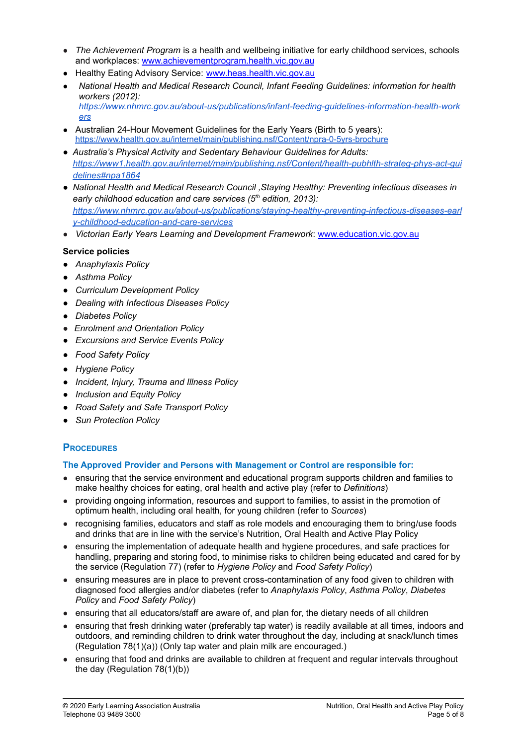- *The Achievement Program* is a health and wellbeing initiative for early childhood services, schools and workplaces: [www.achievementprogram.health.vic.gov.au](http://www.achievementprogram.health.vic.gov.au)
- Healthy Eating Advisory Service: [www.heas.health.vic.gov.au](http://heas.health.vic.gov.au/)
- *National Health and Medical Research Council, Infant Feeding Guidelines: information for health workers (2012)[:](https://www.nhmrc.gov.au/about-us/publications/infant-feeding-guidelines-information-health-workers) [https://www.nhmrc.gov.au/about-us/publications/infant-feeding-guidelines-information-health-work](https://www.nhmrc.gov.au/about-us/publications/infant-feeding-guidelines-information-health-workers) [ers](https://www.nhmrc.gov.au/about-us/publications/infant-feeding-guidelines-information-health-workers)*
- Australian 24-Hour Movement Guidelines for the Early Years (Birth to 5 years): <https://www.health.gov.au/internet/main/publishing.nsf/Content/npra-0-5yrs-brochure>
- *● Australia's Physical Activity and Sedentary Behaviour Guidelines for Adults: [https://www1.health.gov.au/internet/main/publishing.nsf/Content/health-pubhlth-strateg-phys-act-gui](https://www1.health.gov.au/internet/main/publishing.nsf/Content/health-pubhlth-strateg-phys-act-guidelines#npa1864) [delines#npa1864](https://www1.health.gov.au/internet/main/publishing.nsf/Content/health-pubhlth-strateg-phys-act-guidelines#npa1864)*
- *● National Health and Medical Research Council ,Staying Healthy: Preventing infectious diseases in early childhood education and care services (5 th edition, 2013)[:](https://www.nhmrc.gov.au/about-us/publications/staying-healthy-preventing-infectious-diseases-early-childhood-education-and-care-services) [https://www.nhmrc.gov.au/about-us/publications/staying-healthy-preventing-infectious-diseases-earl](https://www.nhmrc.gov.au/about-us/publications/staying-healthy-preventing-infectious-diseases-early-childhood-education-and-care-services) [y-childhood-education-and-care-services](https://www.nhmrc.gov.au/about-us/publications/staying-healthy-preventing-infectious-diseases-early-childhood-education-and-care-services)*
- *Victorian Early Years Learning and Development Framework*: [www.education.vic.gov.au](http://www.education.vic.gov.au/Pages/default.aspx)

# **Service policies**

- *● Anaphylaxis Policy*
- *● Asthma Policy*
- *● Curriculum Development Policy*
- *● Dealing with Infectious Diseases Policy*
- *● Diabetes Policy*
- *● Enrolment and Orientation Policy*
- *● Excursions and Service Events Policy*
- *● Food Safety Policy*
- *● Hygiene Policy*
- *● Incident, Injury, Trauma and Illness Policy*
- *● Inclusion and Equity Policy*
- *● Road Safety and Safe Transport Policy*
- *● Sun Protection Policy*

# **PROCEDURES**

# **The Approved Provider and Persons with Management or Control are responsible for:**

- ensuring that the service environment and educational program supports children and families to make healthy choices for eating, oral health and active play (refer to *Definitions*)
- providing ongoing information, resources and support to families, to assist in the promotion of optimum health, including oral health, for young children (refer to *Sources*)
- recognising families, educators and staff as role models and encouraging them to bring/use foods and drinks that are in line with the service's Nutrition, Oral Health and Active Play Policy
- ensuring the implementation of adequate health and hygiene procedures, and safe practices for handling, preparing and storing food, to minimise risks to children being educated and cared for by the service (Regulation 77) (refer to *Hygiene Policy* and *Food Safety Policy*)
- ensuring measures are in place to prevent cross-contamination of any food given to children with diagnosed food allergies and/or diabetes (refer to *Anaphylaxis Policy*, *Asthma Policy*, *Diabetes Policy* and *Food Safety Policy*)
- ensuring that all educators/staff are aware of, and plan for, the dietary needs of all children
- ensuring that fresh drinking water (preferably tap water) is readily available at all times, indoors and outdoors, and reminding children to drink water throughout the day, including at snack/lunch times (Regulation 78(1)(a)) (Only tap water and plain milk are encouraged.)
- ensuring that food and drinks are available to children at frequent and regular intervals throughout the day (Regulation 78(1)(b))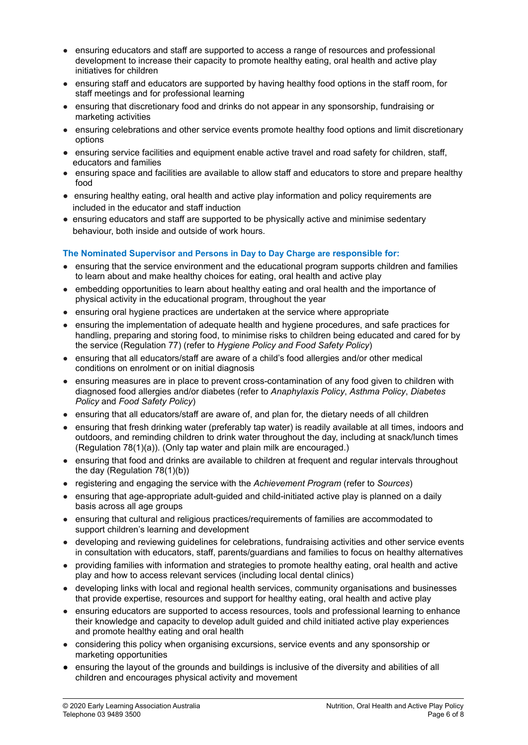- ensuring educators and staff are supported to access a range of resources and professional development to increase their capacity to promote healthy eating, oral health and active play initiatives for children
- ensuring staff and educators are supported by having healthy food options in the staff room, for staff meetings and for professional learning
- ensuring that discretionary food and drinks do not appear in any sponsorship, fundraising or marketing activities
- ensuring celebrations and other service events promote healthy food options and limit discretionary options
- ensuring service facilities and equipment enable active travel and road safety for children, staff, educators and families
- ensuring space and facilities are available to allow staff and educators to store and prepare healthy food
- ensuring healthy eating, oral health and active play information and policy requirements are included in the educator and staff induction
- ensuring educators and staff are supported to be physically active and minimise sedentary behaviour, both inside and outside of work hours.

# **The Nominated Supervisor and Persons in Day to Day Charge are responsible for:**

- ensuring that the service environment and the educational program supports children and families to learn about and make healthy choices for eating, oral health and active play
- embedding opportunities to learn about healthy eating and oral health and the importance of physical activity in the educational program, throughout the year
- ensuring oral hygiene practices are undertaken at the service where appropriate
- ensuring the implementation of adequate health and hygiene procedures, and safe practices for handling, preparing and storing food, to minimise risks to children being educated and cared for by the service (Regulation 77) (refer to *Hygiene Policy and Food Safety Policy*)
- ensuring that all educators/staff are aware of a child's food allergies and/or other medical conditions on enrolment or on initial diagnosis
- ensuring measures are in place to prevent cross-contamination of any food given to children with diagnosed food allergies and/or diabetes (refer to *Anaphylaxis Policy*, *Asthma Policy*, *Diabetes Policy* and *Food Safety Policy*)
- ensuring that all educators/staff are aware of, and plan for, the dietary needs of all children
- ensuring that fresh drinking water (preferably tap water) is readily available at all times, indoors and outdoors, and reminding children to drink water throughout the day, including at snack/lunch times (Regulation 78(1)(a)). (Only tap water and plain milk are encouraged.)
- ensuring that food and drinks are available to children at frequent and regular intervals throughout the day (Regulation 78(1)(b))
- registering and engaging the service with the *Achievement Program* (refer to *Sources*)
- ensuring that age-appropriate adult-guided and child-initiated active play is planned on a daily basis across all age groups
- ensuring that cultural and religious practices/requirements of families are accommodated to support children's learning and development
- developing and reviewing guidelines for celebrations, fundraising activities and other service events in consultation with educators, staff, parents/guardians and families to focus on healthy alternatives
- providing families with information and strategies to promote healthy eating, oral health and active play and how to access relevant services (including local dental clinics)
- developing links with local and regional health services, community organisations and businesses that provide expertise, resources and support for healthy eating, oral health and active play
- ensuring educators are supported to access resources, tools and professional learning to enhance their knowledge and capacity to develop adult guided and child initiated active play experiences and promote healthy eating and oral health
- considering this policy when organising excursions, service events and any sponsorship or marketing opportunities
- *●* ensuring the layout of the grounds and buildings is inclusive of the diversity and abilities of all children and encourages physical activity and movement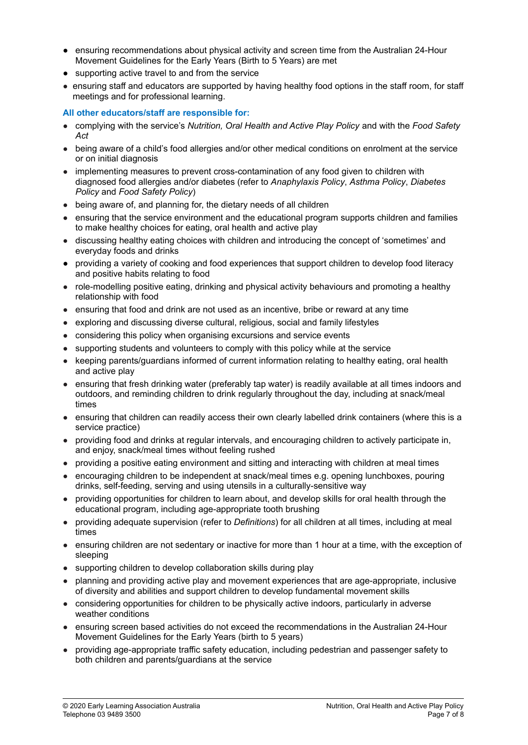- *●* ensuring recommendations about physical activity and screen time from the Australian 24-Hour Movement Guidelines for the Early Years (Birth to 5 Years) are met
- *●* supporting active travel to and from the service
- ensuring staff and educators are supported by having healthy food options in the staff room, for staff meetings and for professional learning.

#### **All other educators/staff are responsible for:**

- complying with the service's *Nutrition, Oral Health and Active Play Policy* and with the *Food Safety Act*
- being aware of a child's food allergies and/or other medical conditions on enrolment at the service or on initial diagnosis
- implementing measures to prevent cross-contamination of any food given to children with diagnosed food allergies and/or diabetes (refer to *Anaphylaxis Policy*, *Asthma Policy*, *Diabetes Policy* and *Food Safety Policy*)
- being aware of, and planning for, the dietary needs of all children
- ensuring that the service environment and the educational program supports children and families to make healthy choices for eating, oral health and active play
- discussing healthy eating choices with children and introducing the concept of 'sometimes' and everyday foods and drinks
- providing a variety of cooking and food experiences that support children to develop food literacy and positive habits relating to food
- role-modelling positive eating, drinking and physical activity behaviours and promoting a healthy relationship with food
- ensuring that food and drink are not used as an incentive, bribe or reward at any time
- exploring and discussing diverse cultural, religious, social and family lifestyles
- considering this policy when organising excursions and service events
- supporting students and volunteers to comply with this policy while at the service
- keeping parents/guardians informed of current information relating to healthy eating, oral health and active play
- ensuring that fresh drinking water (preferably tap water) is readily available at all times indoors and outdoors, and reminding children to drink regularly throughout the day, including at snack/meal times
- ensuring that children can readily access their own clearly labelled drink containers (where this is a service practice)
- providing food and drinks at regular intervals, and encouraging children to actively participate in, and enjoy, snack/meal times without feeling rushed
- providing a positive eating environment and sitting and interacting with children at meal times
- encouraging children to be independent at snack/meal times e.g. opening lunchboxes, pouring drinks, self-feeding, serving and using utensils in a culturally-sensitive way
- providing opportunities for children to learn about, and develop skills for oral health through the educational program, including age-appropriate tooth brushing
- providing adequate supervision (refer to *Definitions*) for all children at all times, including at meal times
- ensuring children are not sedentary or inactive for more than 1 hour at a time, with the exception of sleeping
- supporting children to develop collaboration skills during play
- planning and providing active play and movement experiences that are age-appropriate, inclusive of diversity and abilities and support children to develop fundamental movement skills
- considering opportunities for children to be physically active indoors, particularly in adverse weather conditions
- ensuring screen based activities do not exceed the recommendations in the Australian 24-Hour Movement Guidelines for the Early Years (birth to 5 years)
- providing age-appropriate traffic safety education, including pedestrian and passenger safety to both children and parents/guardians at the service